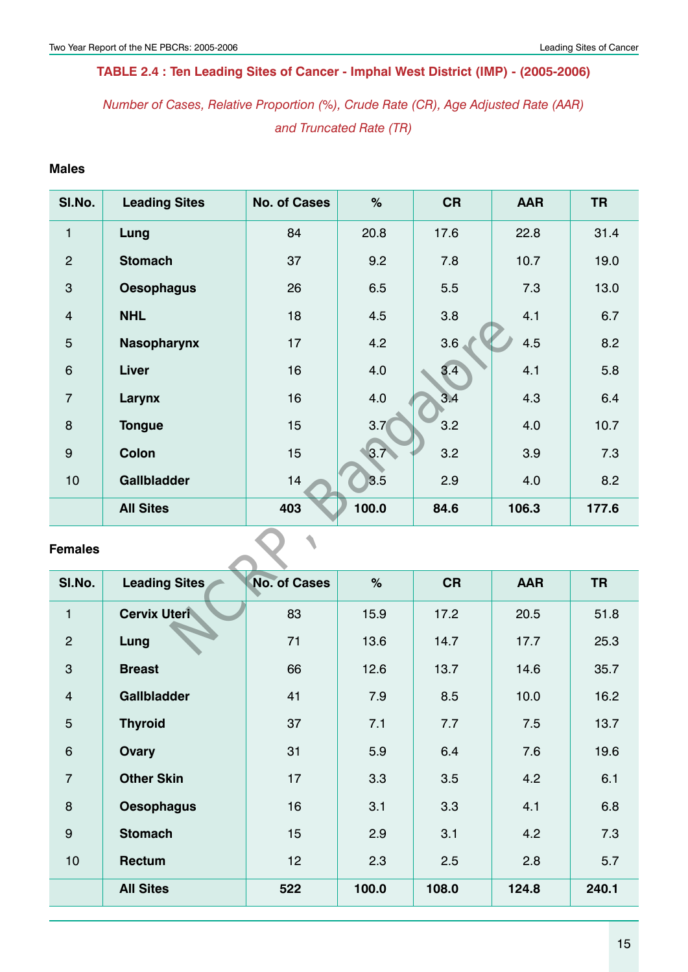# **Table 2.4 : Ten Leading Sites of Cancer - Imphal West District (IMP) - (2005-2006)**

*Number of Cases, Relative Proportion (%), Crude Rate (CR), Age Adjusted Rate (AAR) and Truncated Rate (TR)*

## **Males**

| SI.No.           | <b>Leading Sites</b> | <b>No. of Cases</b> | $\%$  | <b>CR</b> | <b>AAR</b> | <b>TR</b> |  |  |
|------------------|----------------------|---------------------|-------|-----------|------------|-----------|--|--|
| $\mathbf{1}$     | Lung                 | 84                  | 20.8  | 17.6      | 22.8       | 31.4      |  |  |
| $\overline{2}$   | <b>Stomach</b>       | 37                  | 9.2   | 7.8       | 10.7       | 19.0      |  |  |
| $\mathbf{3}$     | <b>Oesophagus</b>    | 26                  | 6.5   | 5.5       | 7.3        | 13.0      |  |  |
| $\overline{4}$   | <b>NHL</b>           | 18                  | 4.5   | 3.8       | 4.1        | 6.7       |  |  |
| $\overline{5}$   | <b>Nasopharynx</b>   | 17                  | 4.2   | 3.6       | 4.5        | 8.2       |  |  |
| $\,6\,$          | <b>Liver</b>         | 16                  | 4.0   | 3.4       | 4.1        | 5.8       |  |  |
| $\overline{7}$   | Larynx               | 16                  | 4.0   | 3.4       | 4.3        | 6.4       |  |  |
| 8                | <b>Tongue</b>        | 15                  | 3.7(  | 3.2       | 4.0        | 10.7      |  |  |
| $\boldsymbol{9}$ | Colon                | 15                  | 3.7   | 3.2       | 3.9        | 7.3       |  |  |
| 10               | <b>Gallbladder</b>   | 14                  | 3.5   | 2.9       | 4.0        | 8.2       |  |  |
|                  | <b>All Sites</b>     | 403                 | 100.0 | 84.6      | 106.3      | 177.6     |  |  |
| <b>Females</b>   |                      |                     |       |           |            |           |  |  |
| SI.No.           | <b>Leading Sites</b> | <b>No. of Cases</b> | $\%$  | <b>CR</b> | <b>AAR</b> | <b>TR</b> |  |  |
| $\mathbf{1}$     | <b>Cervix Uteri</b>  | 83                  | 15.9  | 17.2      | 20.5       | 51.8      |  |  |
| $\overline{2}$   | Lung                 | 71                  | 13.6  | 14.7      | 17.7       | 25.3      |  |  |

| SI.No.           | <b>Leading Sites</b> | <b>No. of Cases</b> | $\%$  | <b>CR</b> | <b>AAR</b> | <b>TR</b> |
|------------------|----------------------|---------------------|-------|-----------|------------|-----------|
| $\mathbf{1}$     | <b>Cervix Uteri</b>  | 83                  | 15.9  | 17.2      | 20.5       | 51.8      |
| $\overline{2}$   | Lung                 | 71                  | 13.6  | 14.7      | 17.7       | 25.3      |
| 3                | <b>Breast</b>        | 66                  | 12.6  | 13.7      | 14.6       | 35.7      |
| $\overline{4}$   | <b>Gallbladder</b>   | 41                  | 7.9   | 8.5       | 10.0       | 16.2      |
| $5\phantom{.0}$  | <b>Thyroid</b>       | 37                  | 7.1   | 7.7       | 7.5        | 13.7      |
| $6\phantom{1}$   | <b>Ovary</b>         | 31                  | 5.9   | 6.4       | 7.6        | 19.6      |
| $\overline{7}$   | <b>Other Skin</b>    | 17                  | 3.3   | 3.5       | 4.2        | 6.1       |
| $\boldsymbol{8}$ | <b>Oesophagus</b>    | 16                  | 3.1   | 3.3       | 4.1        | 6.8       |
| $9$              | <b>Stomach</b>       | 15                  | 2.9   | 3.1       | 4.2        | 7.3       |
| 10               | <b>Rectum</b>        | 12                  | 2.3   | 2.5       | 2.8        | 5.7       |
|                  | <b>All Sites</b>     | 522                 | 100.0 | 108.0     | 124.8      | 240.1     |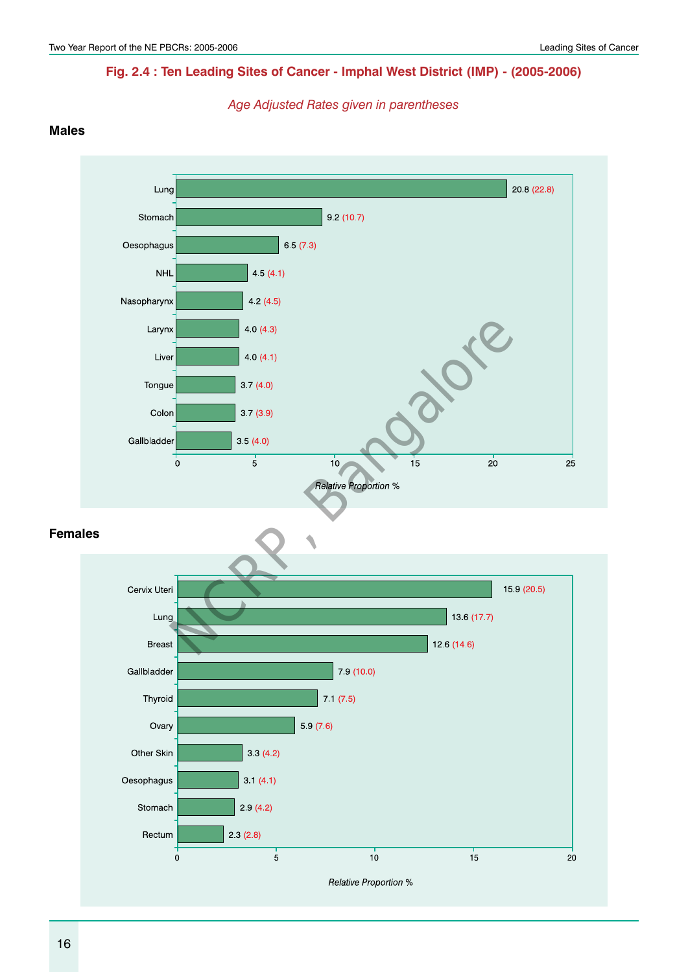# **Fig. 2.4 : Ten Leading Sites of Cancer - Imphal West District (IMP) - (2005-2006)**

*Age Adjusted Rates given in parentheses*

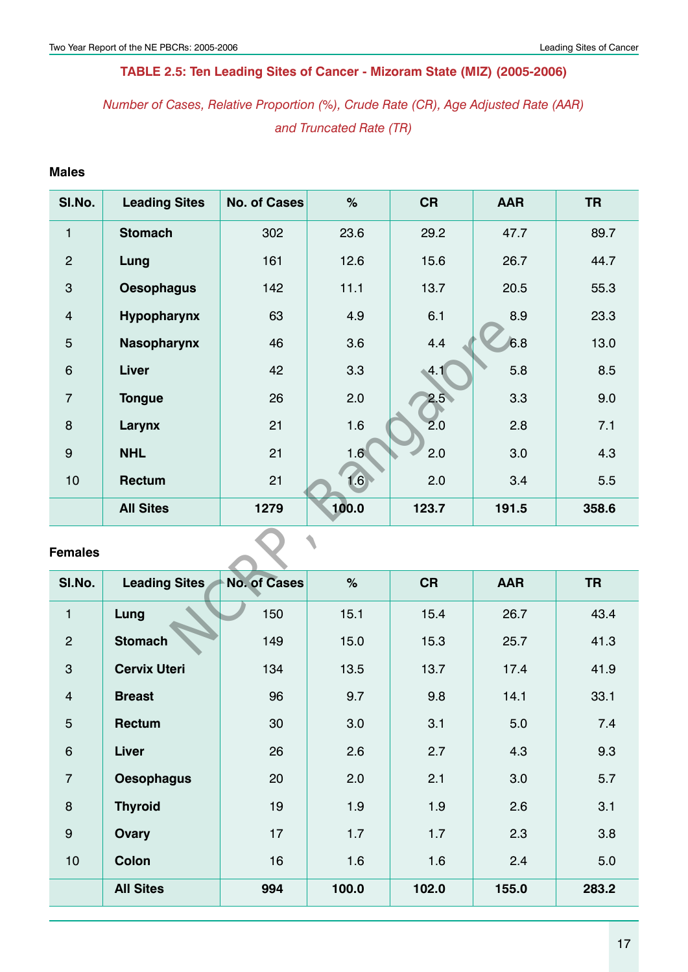# **Table 2.5: Ten Leading Sites of Cancer - Mizoram State (MIZ) (2005-2006)**

*Number of Cases, Relative Proportion (%), Crude Rate (CR), Age Adjusted Rate (AAR) and Truncated Rate (TR)*

## **Males**

| SI.No.           | <b>Leading Sites</b> | <b>No. of Cases</b> | $\%$  | <b>CR</b>        | <b>AAR</b> | <b>TR</b> |  |  |  |  |
|------------------|----------------------|---------------------|-------|------------------|------------|-----------|--|--|--|--|
| $\mathbf{1}$     | <b>Stomach</b>       | 302                 | 23.6  | 29.2             | 47.7       | 89.7      |  |  |  |  |
| $\overline{2}$   | Lung                 | 161                 | 12.6  | 15.6             | 26.7       | 44.7      |  |  |  |  |
| 3                | <b>Oesophagus</b>    | 142                 | 11.1  | 13.7             | 20.5       | 55.3      |  |  |  |  |
| $\overline{4}$   | Hypopharynx          | 63                  | 4.9   | 6.1              | 8.9        | 23.3      |  |  |  |  |
| 5                | <b>Nasopharynx</b>   | 46                  | 3.6   | 4.4              | 6.8        | 13.0      |  |  |  |  |
| $6\phantom{1}$   | Liver                | 42                  | 3.3   | .4.1             | 5.8        | 8.5       |  |  |  |  |
| $\overline{7}$   | <b>Tongue</b>        | 26                  | 2.0   | 2.5 <sub>0</sub> | 3.3        | 9.0       |  |  |  |  |
| 8                | Larynx               | 21                  | 1.6   | 2.0              | 2.8        | 7.1       |  |  |  |  |
| $\boldsymbol{9}$ | <b>NHL</b>           | 21                  | 1.6   | 2.0              | 3.0        | 4.3       |  |  |  |  |
| 10               | Rectum               | 21                  | 1.6   | 2.0              | 3.4        | 5.5       |  |  |  |  |
|                  | <b>All Sites</b>     | 1279                | 100.0 | 123.7            | 191.5      | 358.6     |  |  |  |  |
| <b>Females</b>   |                      |                     |       |                  |            |           |  |  |  |  |
| SI.No.           | <b>Leading Sites</b> | <b>No. of Cases</b> | $\%$  | <b>CR</b>        | <b>AAR</b> | <b>TR</b> |  |  |  |  |
| $\mathbf{1}$     | Lung                 | 150                 | 15.1  | 15.4             | 26.7       | 43.4      |  |  |  |  |
| $\overline{2}$   | <b>Stomach</b>       | 149                 | 15.0  | 15.3             | 25.7       | 41.3      |  |  |  |  |

| SI.No.           | <b>Leading Sites</b> | <b>No. of Cases</b> | $\%$  | <b>CR</b> | <b>AAR</b> | <b>TR</b> |
|------------------|----------------------|---------------------|-------|-----------|------------|-----------|
| $\mathbf{1}$     | Lung                 | 150                 | 15.1  | 15.4      | 26.7       | 43.4      |
| $\overline{2}$   | <b>Stomach</b>       | 149                 | 15.0  | 15.3      | 25.7       | 41.3      |
| $\mathbf{3}$     | <b>Cervix Uteri</b>  | 134                 | 13.5  | 13.7      | 17.4       | 41.9      |
| $\overline{4}$   | <b>Breast</b>        | 96                  | 9.7   | 9.8       | 14.1       | 33.1      |
| $\overline{5}$   | <b>Rectum</b>        | 30                  | 3.0   | 3.1       | 5.0        | 7.4       |
| $\,6$            | Liver                | 26                  | 2.6   | 2.7       | 4.3        | 9.3       |
| $\overline{7}$   | <b>Oesophagus</b>    | 20                  | 2.0   | 2.1       | 3.0        | 5.7       |
| $\boldsymbol{8}$ | <b>Thyroid</b>       | 19                  | 1.9   | 1.9       | 2.6        | 3.1       |
| $\boldsymbol{9}$ | Ovary                | 17                  | 1.7   | 1.7       | 2.3        | 3.8       |
| 10               | <b>Colon</b>         | 16                  | 1.6   | 1.6       | 2.4        | 5.0       |
|                  | <b>All Sites</b>     | 994                 | 100.0 | 102.0     | 155.0      | 283.2     |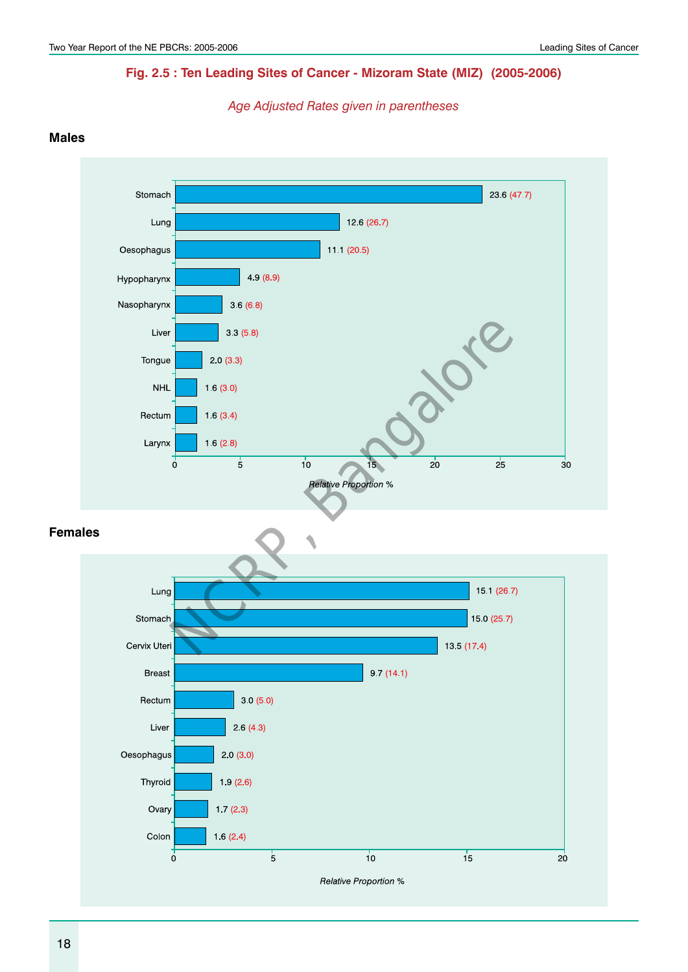## **Fig. 2.5 : Ten Leading Sites of Cancer - Mizoram State (MIZ) (2005-2006)**

*Age Adjusted Rates given in parentheses*

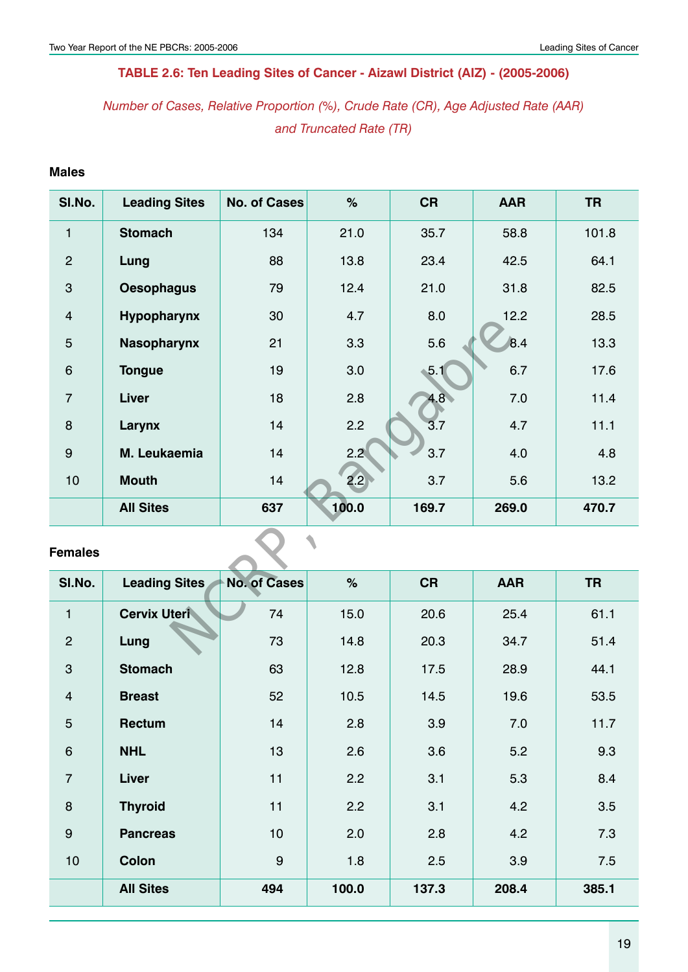# **Table 2.6: Ten Leading Sites of Cancer - Aizawl District (AIZ) - (2005-2006)**

*Number of Cases, Relative Proportion (%), Crude Rate (CR), Age Adjusted Rate (AAR) and Truncated Rate (TR)*

## **Males**

| SI.No.         | <b>Leading Sites</b> | <b>No. of Cases</b> | $\%$  | <b>CR</b> | <b>AAR</b>  | <b>TR</b> |  |  |  |
|----------------|----------------------|---------------------|-------|-----------|-------------|-----------|--|--|--|
| $\mathbf{1}$   | <b>Stomach</b>       | 134                 | 21.0  | 35.7      | 58.8        | 101.8     |  |  |  |
| $\overline{2}$ | Lung                 | 88                  | 13.8  | 23.4      | 42.5        | 64.1      |  |  |  |
| 3              | <b>Oesophagus</b>    | 79                  | 12.4  | 21.0      | 31.8        | 82.5      |  |  |  |
| $\overline{4}$ | Hypopharynx          | 30                  | 4.7   | 8.0       | 12.2        | 28.5      |  |  |  |
| 5              | <b>Nasopharynx</b>   | 21                  | 3.3   | 5.6       | $\vert 8.4$ | 13.3      |  |  |  |
| $\,6$          | <b>Tongue</b>        | 19                  | 3.0   | 5.1       | 6.7         | 17.6      |  |  |  |
| $\overline{7}$ | Liver                | 18                  | 2.8   | 4.8       | 7.0         | 11.4      |  |  |  |
| 8              | Larynx               | 14                  | 2.2   | 3.7       | 4.7         | 11.1      |  |  |  |
| $\overline{9}$ | M. Leukaemia         | 14                  | 2.2   | 3.7       | 4.0         | 4.8       |  |  |  |
| 10             | <b>Mouth</b>         | 14                  | 2.2   | 3.7       | 5.6         | 13.2      |  |  |  |
|                | <b>All Sites</b>     | 637                 | 100.0 | 169.7     | 269.0       | 470.7     |  |  |  |
| <b>Females</b> |                      |                     |       |           |             |           |  |  |  |
| SI.No.         | <b>Leading Sites</b> | <b>No. of Cases</b> | $\%$  | <b>CR</b> | <b>AAR</b>  | <b>TR</b> |  |  |  |
| $\mathbf{1}$   | <b>Cervix Uteri</b>  | 74                  | 15.0  | 20.6      | 25.4        | 61.1      |  |  |  |
| $\overline{2}$ | Lung                 | 73                  | 14.8  | 20.3      | 34.7        | 51.4      |  |  |  |

| SI.No.           | <b>Leading Sites</b> | <b>No. of Cases</b> | $\%$  | <b>CR</b> | <b>AAR</b> | <b>TR</b> |
|------------------|----------------------|---------------------|-------|-----------|------------|-----------|
| $\mathbf{1}$     | <b>Cervix Uteri</b>  | 74                  | 15.0  | 20.6      | 25.4       | 61.1      |
| $\overline{2}$   | Lung                 | 73                  | 14.8  | 20.3      | 34.7       | 51.4      |
| $\mathbf{3}$     | <b>Stomach</b>       | 63                  | 12.8  | 17.5      | 28.9       | 44.1      |
| $\overline{4}$   | <b>Breast</b>        | 52                  | 10.5  | 14.5      | 19.6       | 53.5      |
| $\overline{5}$   | Rectum               | 14                  | 2.8   | 3.9       | 7.0        | 11.7      |
| $\boldsymbol{6}$ | <b>NHL</b>           | 13                  | 2.6   | 3.6       | 5.2        | 9.3       |
| $\overline{7}$   | Liver                | 11                  | 2.2   | 3.1       | 5.3        | 8.4       |
| $\boldsymbol{8}$ | <b>Thyroid</b>       | 11                  | 2.2   | 3.1       | 4.2        | 3.5       |
| $\boldsymbol{9}$ | <b>Pancreas</b>      | 10                  | 2.0   | 2.8       | 4.2        | 7.3       |
| 10               | <b>Colon</b>         | $9\,$               | 1.8   | 2.5       | 3.9        | 7.5       |
|                  | <b>All Sites</b>     | 494                 | 100.0 | 137.3     | 208.4      | 385.1     |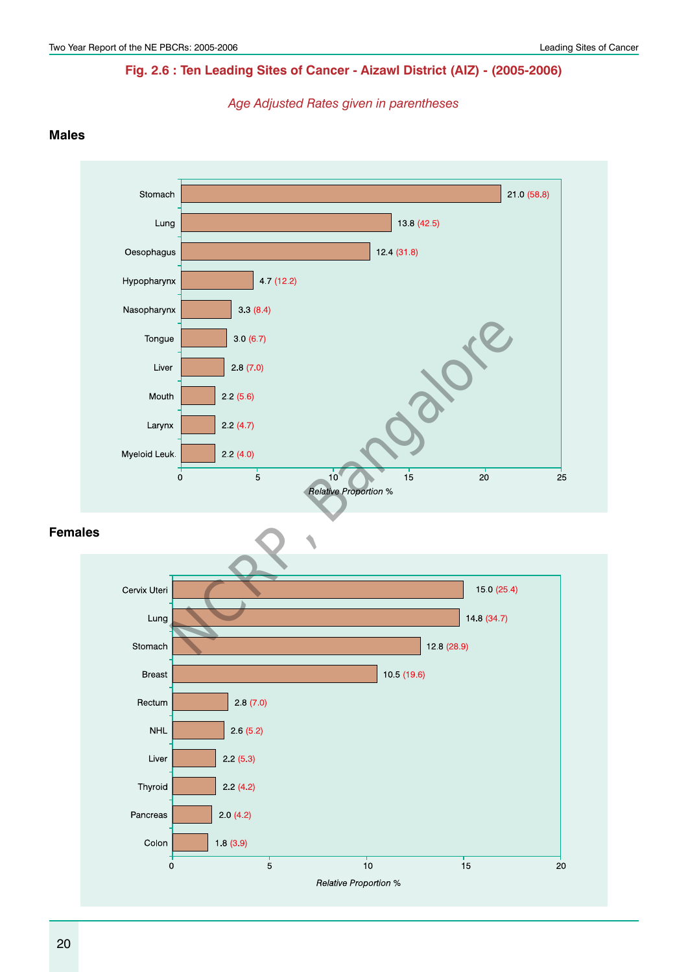## **Fig. 2.6 : Ten Leading Sites of Cancer - Aizawl District (AIZ) - (2005-2006)**

*Age Adjusted Rates given in parentheses*

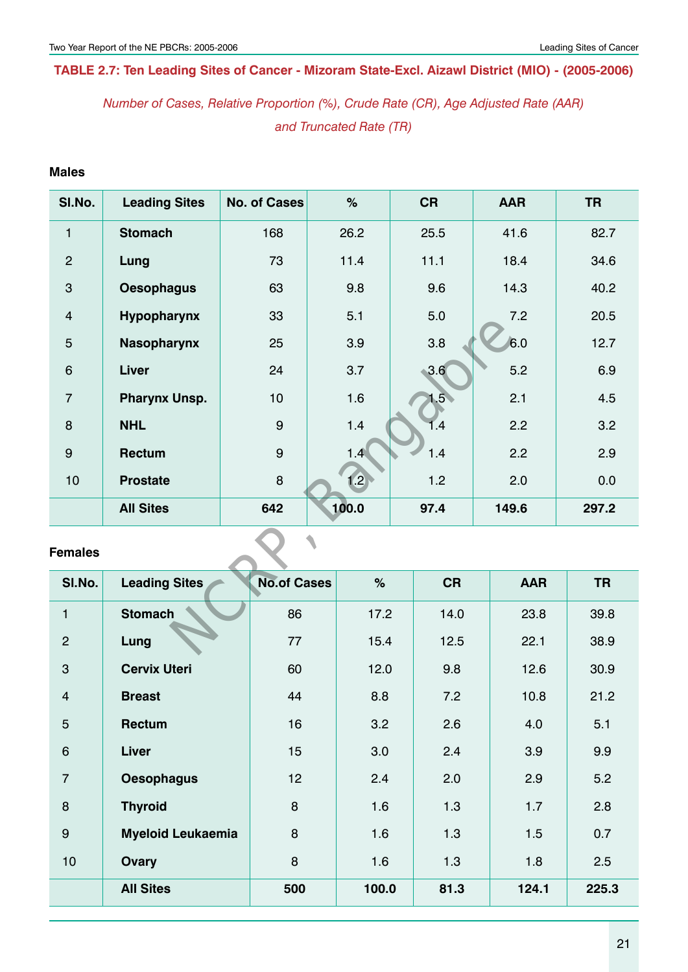## **Table 2.7: Ten Leading Sites of Cancer - Mizoram State-Excl. Aizawl District (MIO) - (2005-2006)**

*Number of Cases, Relative Proportion (%), Crude Rate (CR), Age Adjusted Rate (AAR) and Truncated Rate (TR)*

## **Males**

| SI.No.           | <b>Leading Sites</b> | <b>No. of Cases</b> | $\%$  | <b>CR</b> | <b>AAR</b> | <b>TR</b> |  |  |
|------------------|----------------------|---------------------|-------|-----------|------------|-----------|--|--|
| $\mathbf{1}$     | <b>Stomach</b>       | 168                 | 26.2  | 25.5      | 41.6       | 82.7      |  |  |
| $\overline{2}$   | Lung                 | 73                  | 11.4  | 11.1      | 18.4       | 34.6      |  |  |
| 3                | <b>Oesophagus</b>    | 63                  | 9.8   | 9.6       | 14.3       | 40.2      |  |  |
| $\overline{4}$   | Hypopharynx          | 33                  | 5.1   | 5.0       | 7.2        | 20.5      |  |  |
| 5                | <b>Nasopharynx</b>   | 25                  | 3.9   | 3.8       | 6.0        | 12.7      |  |  |
| $6\phantom{1}$   | <b>Liver</b>         | 24                  | 3.7   | 3.6       | 5.2        | 6.9       |  |  |
| $\overline{7}$   | <b>Pharynx Unsp.</b> | 10                  | 1.6   | 1.5       | 2.1        | 4.5       |  |  |
| 8                | <b>NHL</b>           | $\boldsymbol{9}$    | 1.4   | 1.4       | 2.2        | 3.2       |  |  |
| $\boldsymbol{9}$ | Rectum               | $\boldsymbol{9}$    | 1.4   | 1.4       | 2.2        | 2.9       |  |  |
| 10               | <b>Prostate</b>      | 8                   | 1.2   | 1.2       | 2.0        | 0.0       |  |  |
|                  | <b>All Sites</b>     | 642                 | 100.0 | 97.4      | 149.6      | 297.2     |  |  |
| <b>Females</b>   |                      |                     |       |           |            |           |  |  |
| SI.No.           | <b>Leading Sites</b> | <b>No.of Cases</b>  | $\%$  | <b>CR</b> | <b>AAR</b> | <b>TR</b> |  |  |
| $\mathbf{1}$     | <b>Stomach</b>       | 86                  | 17.2  | 14.0      | 23.8       | 39.8      |  |  |
| $\overline{2}$   | Lung                 | 77                  | 15.4  | 12.5      | 22.1       | 38.9      |  |  |

| SI.No.         | <b>Leading Sites</b>     | <b>No.of Cases</b> | %     | <b>CR</b> | <b>AAR</b> | <b>TR</b> |
|----------------|--------------------------|--------------------|-------|-----------|------------|-----------|
| $\mathbf{1}$   | <b>Stomach</b>           | 86                 | 17.2  | 14.0      | 23.8       | 39.8      |
| $\overline{2}$ | Lung                     | 77                 | 15.4  | 12.5      | 22.1       | 38.9      |
| 3              | <b>Cervix Uteri</b>      | 60                 | 12.0  | 9.8       | 12.6       | 30.9      |
| $\overline{4}$ | <b>Breast</b>            | 44                 | 8.8   | 7.2       | 10.8       | 21.2      |
| 5              | <b>Rectum</b>            | 16                 | 3.2   | 2.6       | 4.0        | 5.1       |
| $6\phantom{1}$ | <b>Liver</b>             | 15                 | 3.0   | 2.4       | 3.9        | 9.9       |
| $\overline{7}$ | <b>Oesophagus</b>        | 12                 | 2.4   | 2.0       | 2.9        | 5.2       |
| 8              | <b>Thyroid</b>           | 8                  | 1.6   | 1.3       | 1.7        | 2.8       |
| 9              | <b>Myeloid Leukaemia</b> | 8                  | 1.6   | 1.3       | 1.5        | 0.7       |
| 10             | Ovary                    | 8                  | 1.6   | 1.3       | 1.8        | 2.5       |
|                | <b>All Sites</b>         | 500                | 100.0 | 81.3      | 124.1      | 225.3     |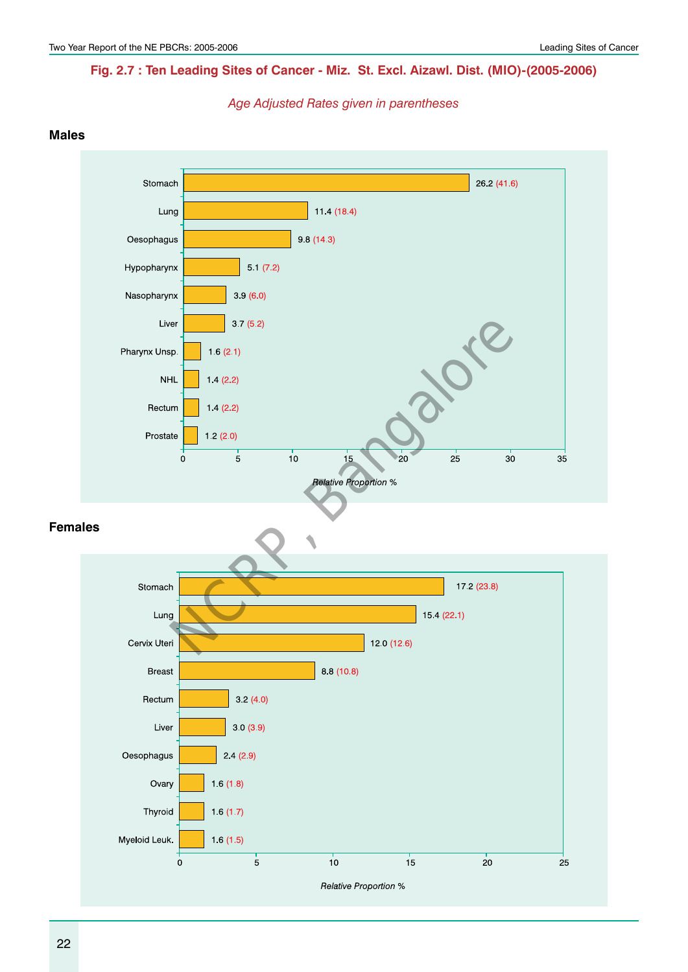## **Fig. 2.7 : Ten Leading Sites of Cancer - Miz. St. Excl. Aizawl. Dist. (MIO)-(2005-2006)**

*Age Adjusted Rates given in parentheses*

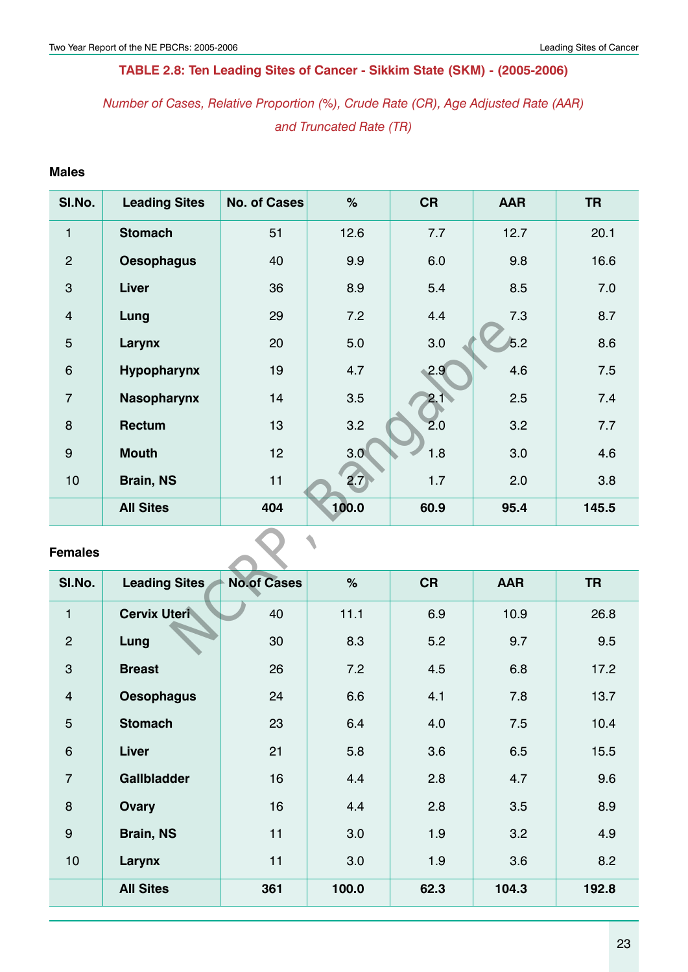# **Table 2.8: Ten Leading Sites of Cancer - Sikkim State (SKM) - (2005-2006)**

# *Number of Cases, Relative Proportion (%), Crude Rate (CR), Age Adjusted Rate (AAR) and Truncated Rate (TR)*

## **Males**

| SI.No.           | <b>Leading Sites</b> | <b>No. of Cases</b> | $\%$  | <b>CR</b> | <b>AAR</b> | <b>TR</b> |
|------------------|----------------------|---------------------|-------|-----------|------------|-----------|
| $\mathbf{1}$     | <b>Stomach</b>       | 51                  | 12.6  | 7.7       | 12.7       | 20.1      |
| $\overline{2}$   | <b>Oesophagus</b>    | 40                  | 9.9   | 6.0       | 9.8        | 16.6      |
| 3                | Liver                | 36                  | 8.9   | 5.4       | 8.5        | 7.0       |
| $\overline{4}$   | Lung                 | 29                  | 7.2   | 4.4       | 7.3        | 8.7       |
| 5                | Larynx               | 20                  | 5.0   | 3.0       | 5.2        | 8.6       |
| $\,6$            | Hypopharynx          | 19                  | 4.7   | 2.9       | 4.6        | 7.5       |
| $\overline{7}$   | <b>Nasopharynx</b>   | 14                  | 3.5   | 2.1       | 2.5        | 7.4       |
| 8                | <b>Rectum</b>        | 13                  | 3.2   | 2.0       | 3.2        | 7.7       |
| $\boldsymbol{9}$ | <b>Mouth</b>         | 12                  | 3.0   | 1.8       | 3.0        | 4.6       |
| 10               | <b>Brain, NS</b>     | 11                  | 2.7   | 1.7       | 2.0        | 3.8       |
|                  | <b>All Sites</b>     | 404                 | 100.0 | 60.9      | 95.4       | 145.5     |
| <b>Females</b>   |                      |                     |       |           |            |           |
| SI.No.           | <b>Leading Sites</b> | <b>No.of Cases</b>  | $\%$  | <b>CR</b> | <b>AAR</b> | <b>TR</b> |
| $\mathbf{1}$     | <b>Cervix Uteri</b>  | 40                  | 11.1  | 6.9       | 10.9       | 26.8      |
| $\overline{2}$   | Lung                 | 30                  | 8.3   | 5.2       | 9.7        | 9.5       |

| SI.No.          | <b>Leading Sites</b> | <b>No.of Cases</b> | $\%$  | <b>CR</b> | <b>AAR</b> | <b>TR</b> |
|-----------------|----------------------|--------------------|-------|-----------|------------|-----------|
| 1               | <b>Cervix Uteri</b>  | 40                 | 11.1  | 6.9       | 10.9       | 26.8      |
| $\overline{2}$  | Lung                 | 30                 | 8.3   | 5.2       | 9.7        | 9.5       |
| 3               | <b>Breast</b>        | 26                 | 7.2   | 4.5       | 6.8        | 17.2      |
| $\overline{4}$  | <b>Oesophagus</b>    | 24                 | 6.6   | 4.1       | 7.8        | 13.7      |
| 5               | <b>Stomach</b>       | 23                 | 6.4   | 4.0       | 7.5        | 10.4      |
| $6\phantom{1}6$ | <b>Liver</b>         | 21                 | 5.8   | 3.6       | 6.5        | 15.5      |
| $\overline{7}$  | <b>Gallbladder</b>   | 16                 | 4.4   | 2.8       | 4.7        | 9.6       |
| 8               | Ovary                | 16                 | 4.4   | 2.8       | 3.5        | 8.9       |
| 9               | <b>Brain, NS</b>     | 11                 | 3.0   | 1.9       | 3.2        | 4.9       |
| 10              | Larynx               | 11                 | 3.0   | 1.9       | 3.6        | 8.2       |
|                 | <b>All Sites</b>     | 361                | 100.0 | 62.3      | 104.3      | 192.8     |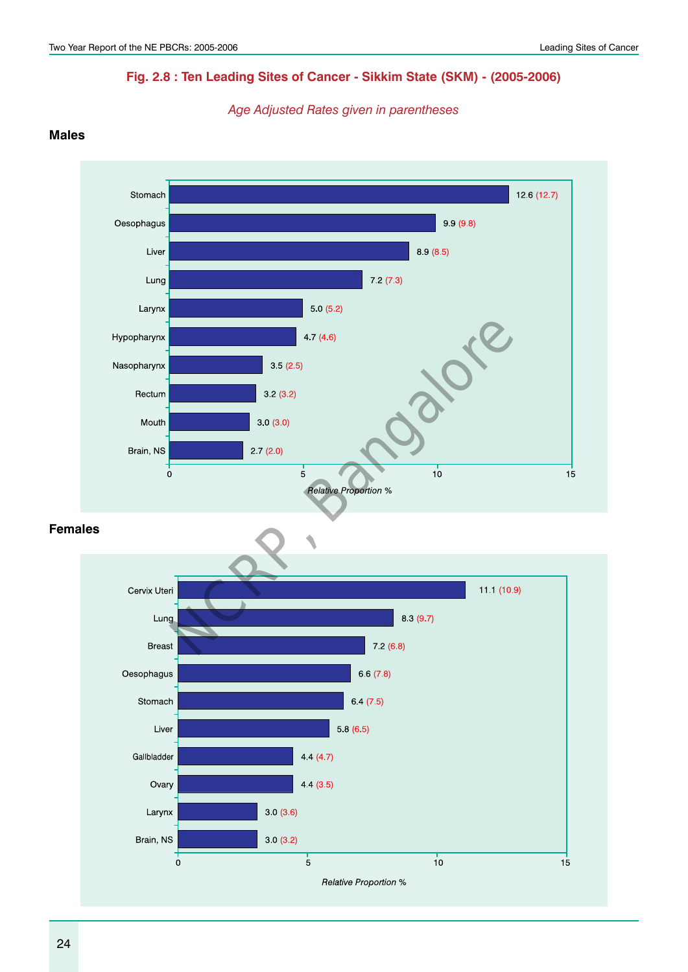# **Fig. 2.8 : Ten Leading Sites of Cancer - Sikkim State (SKM) - (2005-2006)**

*Age Adjusted Rates given in parentheses*